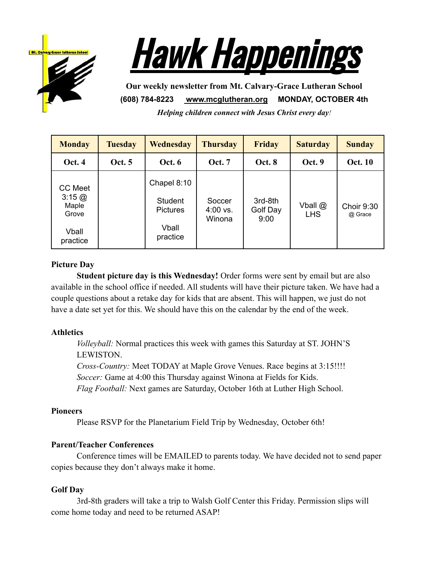



**Our weekly newsletter from Mt. Calvary-Grace Lutheran School (608) 784-8223 [www.mcglutheran.org](http://www.mcglutheran.org/) MONDAY, OCTOBER 4th** *Helping children connect with Jesus Christ every day!*

| <b>Monday</b>                                                                      | <b>Tuesday</b> | Wednesday                                                      | <b>Thursday</b>                | <b>Friday</b>               | <b>Saturday</b>       | <b>Sunday</b>         |
|------------------------------------------------------------------------------------|----------------|----------------------------------------------------------------|--------------------------------|-----------------------------|-----------------------|-----------------------|
| <b>Oct. 4</b>                                                                      | <b>Oct.</b> 5  | <b>Oct. 6</b>                                                  | <b>Oct.</b> 7                  | <b>Oct. 8</b>               | Oct. 9                | <b>Oct. 10</b>        |
| <b>CC</b> Meet<br>$3:15 \; \textcircled{a}$<br>Maple<br>Grove<br>Vball<br>practice |                | Chapel 8:10<br>Student<br><b>Pictures</b><br>Vball<br>practice | Soccer<br>$4:00$ vs.<br>Winona | 3rd-8th<br>Golf Day<br>9:00 | Vball @<br><b>LHS</b> | Choir 9:30<br>@ Grace |

### **Picture Day**

**Student picture day is this Wednesday!** Order forms were sent by email but are also available in the school office if needed. All students will have their picture taken. We have had a couple questions about a retake day for kids that are absent. This will happen, we just do not have a date set yet for this. We should have this on the calendar by the end of the week.

### **Athletics**

*Volleyball:* Normal practices this week with games this Saturday at ST. JOHN'S LEWISTON. *Cross-Country:* Meet TODAY at Maple Grove Venues. Race begins at 3:15!!!! *Soccer:* Game at 4:00 this Thursday against Winona at Fields for Kids. *Flag Football:* Next games are Saturday, October 16th at Luther High School.

### **Pioneers**

Please RSVP for the Planetarium Field Trip by Wednesday, October 6th!

### **Parent/Teacher Conferences**

Conference times will be EMAILED to parents today. We have decided not to send paper copies because they don't always make it home.

### **Golf Day**

3rd-8th graders will take a trip to Walsh Golf Center this Friday. Permission slips will come home today and need to be returned ASAP!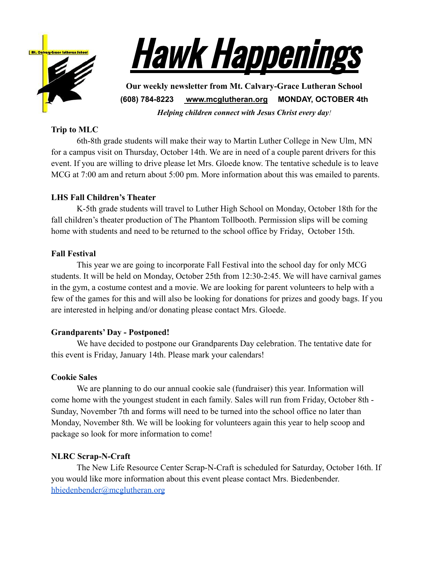



**Our weekly newsletter from Mt. Calvary-Grace Lutheran School (608) 784-8223 [www.mcglutheran.org](http://www.mcglutheran.org/) MONDAY, OCTOBER 4th** *Helping children connect with Jesus Christ every day!*

## **Trip to MLC**

6th-8th grade students will make their way to Martin Luther College in New Ulm, MN for a campus visit on Thursday, October 14th. We are in need of a couple parent drivers for this event. If you are willing to drive please let Mrs. Gloede know. The tentative schedule is to leave MCG at 7:00 am and return about 5:00 pm. More information about this was emailed to parents.

### **LHS Fall Children's Theater**

K-5th grade students will travel to Luther High School on Monday, October 18th for the fall children's theater production of The Phantom Tollbooth. Permission slips will be coming home with students and need to be returned to the school office by Friday, October 15th.

### **Fall Festival**

This year we are going to incorporate Fall Festival into the school day for only MCG students. It will be held on Monday, October 25th from 12:30-2:45. We will have carnival games in the gym, a costume contest and a movie. We are looking for parent volunteers to help with a few of the games for this and will also be looking for donations for prizes and goody bags. If you are interested in helping and/or donating please contact Mrs. Gloede.

### **Grandparents' Day - Postponed!**

We have decided to postpone our Grandparents Day celebration. The tentative date for this event is Friday, January 14th. Please mark your calendars!

### **Cookie Sales**

We are planning to do our annual cookie sale (fundraiser) this year. Information will come home with the youngest student in each family. Sales will run from Friday, October 8th - Sunday, November 7th and forms will need to be turned into the school office no later than Monday, November 8th. We will be looking for volunteers again this year to help scoop and package so look for more information to come!

# **NLRC Scrap-N-Craft**

The New Life Resource Center Scrap-N-Craft is scheduled for Saturday, October 16th. If you would like more information about this event please contact Mrs. Biedenbender. [hbiedenbender@mcglutheran.org](mailto:hbiedenbender@mcglutheran.org)